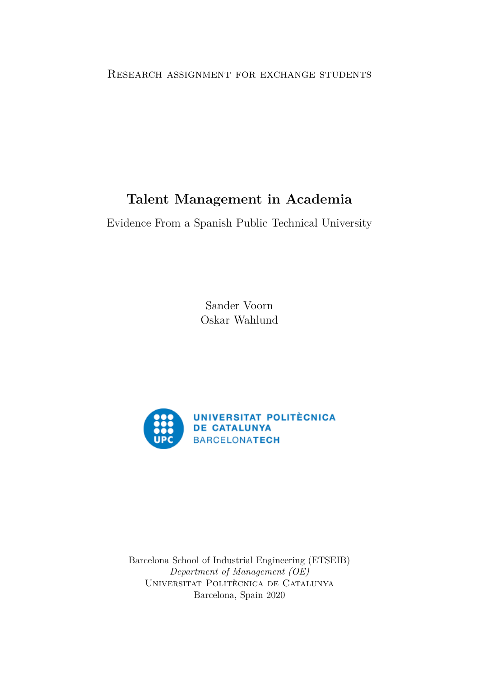#### Research assignment for exchange students

# **Talent Management in Academia**

Evidence From a Spanish Public Technical University

Sander Voorn Oskar Wahlund



Barcelona School of Industrial Engineering (ETSEIB) *Department of Management (OE)* UNIVERSITAT POLITÈCNICA DE CATALUNYA Barcelona, Spain 2020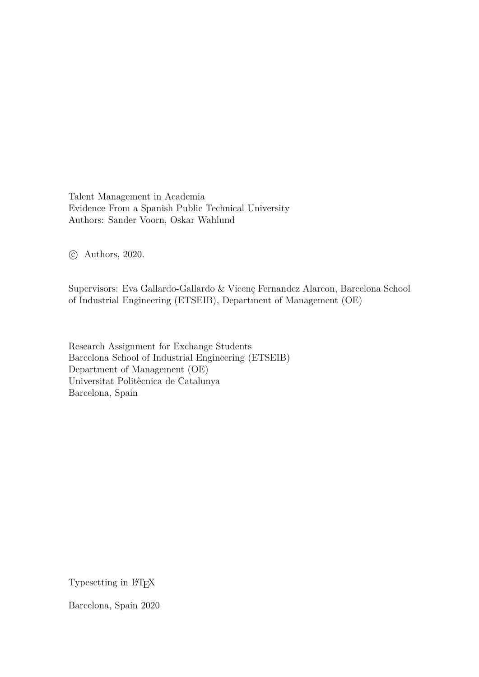Talent Management in Academia Evidence From a Spanish Public Technical University Authors: Sander Voorn, Oskar Wahlund

c Authors, 2020.

Supervisors: Eva Gallardo-Gallardo & Vicenç Fernandez Alarcon, Barcelona School of Industrial Engineering (ETSEIB), Department of Management (OE)

Research Assignment for Exchange Students Barcelona School of Industrial Engineering (ETSEIB) Department of Management (OE) Universitat Politècnica de Catalunya Barcelona, Spain

Typesetting in L<sup>AT</sup>FX

Barcelona, Spain 2020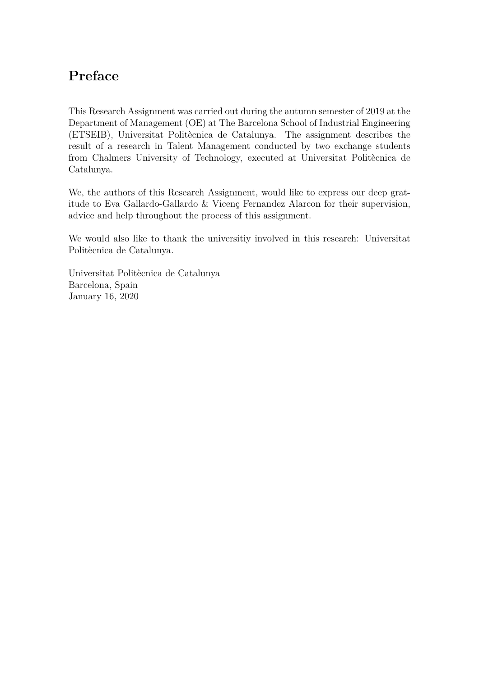# **Preface**

This Research Assignment was carried out during the autumn semester of 2019 at the Department of Management (OE) at The Barcelona School of Industrial Engineering (ETSEIB), Universitat Politècnica de Catalunya. The assignment describes the result of a research in Talent Management conducted by two exchange students from Chalmers University of Technology, executed at Universitat Politècnica de Catalunya.

We, the authors of this Research Assignment, would like to express our deep gratitude to Eva Gallardo-Gallardo  $&$  Vicenç Fernandez Alarcon for their supervision, advice and help throughout the process of this assignment.

We would also like to thank the universitiy involved in this research: Universitat Politècnica de Catalunya.

Universitat Politècnica de Catalunya Barcelona, Spain January 16, 2020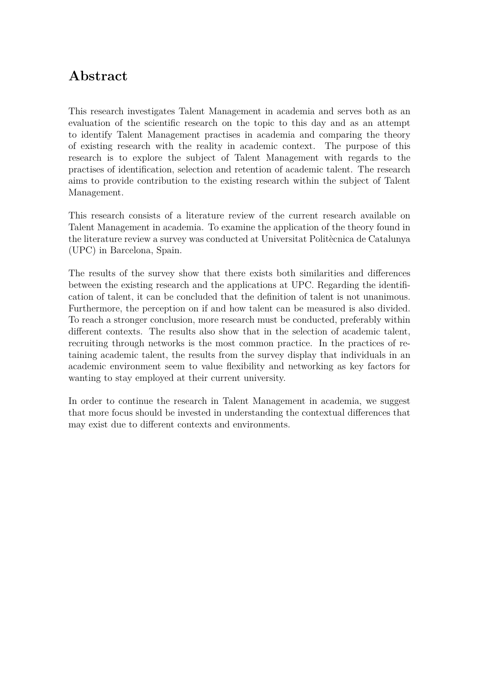# **Abstract**

This research investigates Talent Management in academia and serves both as an evaluation of the scientific research on the topic to this day and as an attempt to identify Talent Management practises in academia and comparing the theory of existing research with the reality in academic context. The purpose of this research is to explore the subject of Talent Management with regards to the practises of identification, selection and retention of academic talent. The research aims to provide contribution to the existing research within the subject of Talent Management.

This research consists of a literature review of the current research available on Talent Management in academia. To examine the application of the theory found in the literature review a survey was conducted at Universitat Politècnica de Catalunya (UPC) in Barcelona, Spain.

The results of the survey show that there exists both similarities and differences between the existing research and the applications at UPC. Regarding the identification of talent, it can be concluded that the definition of talent is not unanimous. Furthermore, the perception on if and how talent can be measured is also divided. To reach a stronger conclusion, more research must be conducted, preferably within different contexts. The results also show that in the selection of academic talent, recruiting through networks is the most common practice. In the practices of retaining academic talent, the results from the survey display that individuals in an academic environment seem to value flexibility and networking as key factors for wanting to stay employed at their current university.

In order to continue the research in Talent Management in academia, we suggest that more focus should be invested in understanding the contextual differences that may exist due to different contexts and environments.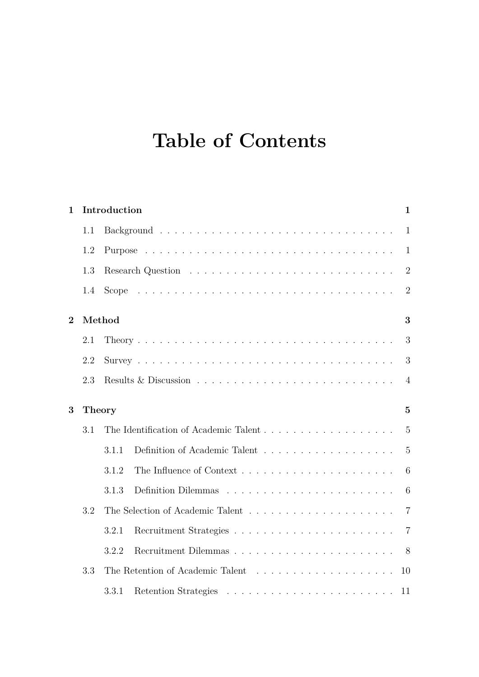# **Table of Contents**

| $\mathbf{1}$ |     | Introduction  |  | $\mathbf{1}$   |
|--------------|-----|---------------|--|----------------|
|              | 1.1 |               |  | $\mathbf{1}$   |
|              | 1.2 |               |  | $\mathbf{1}$   |
|              | 1.3 |               |  | $\overline{2}$ |
|              | 1.4 |               |  | $\overline{2}$ |
| $\mathbf{2}$ |     | Method        |  | 3              |
|              | 2.1 |               |  | 3              |
|              | 2.2 |               |  | 3              |
|              | 2.3 |               |  | $\overline{4}$ |
| 3            |     | <b>Theory</b> |  | $\overline{5}$ |
|              | 3.1 |               |  | $\overline{5}$ |
|              |     | 3.1.1         |  | $\overline{5}$ |
|              |     | 3.1.2         |  | 6              |
|              |     | 3.1.3         |  | 6              |
|              | 3.2 |               |  | $\overline{7}$ |
|              |     | 3.2.1         |  | $\overline{7}$ |
|              |     | 3.2.2         |  | - 8            |
|              | 3.3 |               |  | 10             |
|              |     | 3.3.1         |  | 11             |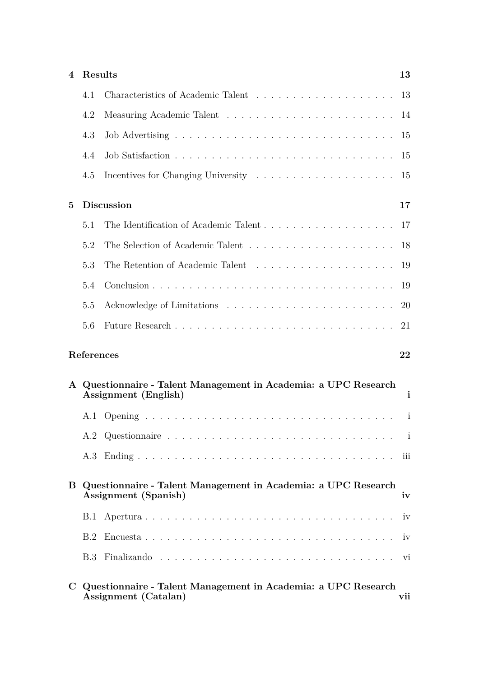| 4            | Results    |                                                                                       | 13           |
|--------------|------------|---------------------------------------------------------------------------------------|--------------|
|              | 4.1        |                                                                                       | 13           |
|              | 4.2        |                                                                                       | 14           |
|              | 4.3        |                                                                                       | 15           |
|              | 4.4        |                                                                                       | 15           |
|              | 4.5        |                                                                                       | 15           |
| 5            |            | <b>Discussion</b>                                                                     | 17           |
|              | 5.1        |                                                                                       | 17           |
|              | 5.2        |                                                                                       | 18           |
|              | 5.3        |                                                                                       | 19           |
|              | 5.4        |                                                                                       | 19           |
|              | 5.5        |                                                                                       | 20           |
|              | 5.6        |                                                                                       | 21           |
|              |            |                                                                                       |              |
|              | References |                                                                                       | 22           |
| $\mathbf{A}$ |            | Questionnaire - Talent Management in Academia: a UPC Research<br>Assignment (English) | $\mathbf{i}$ |
|              | A.1        |                                                                                       |              |
|              |            |                                                                                       |              |
|              |            |                                                                                       |              |
| B            |            | Questionnaire - Talent Management in Academia: a UPC Research<br>Assignment (Spanish) | iv           |
|              | B.1        |                                                                                       | iv           |
|              | B.2        |                                                                                       | iv           |
|              | B.3        |                                                                                       |              |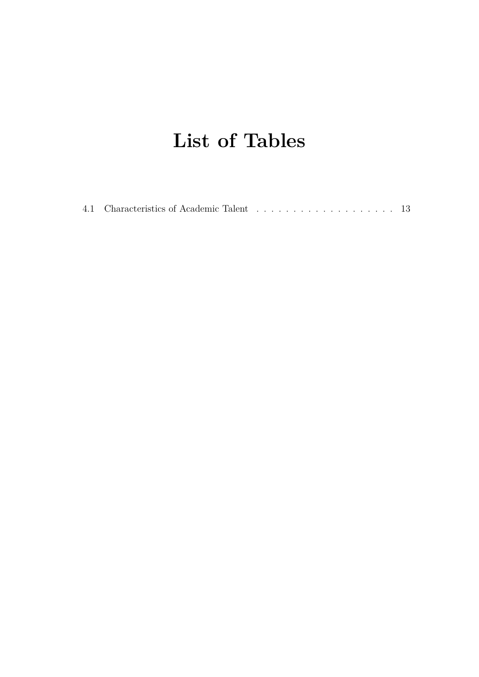# **List of Tables**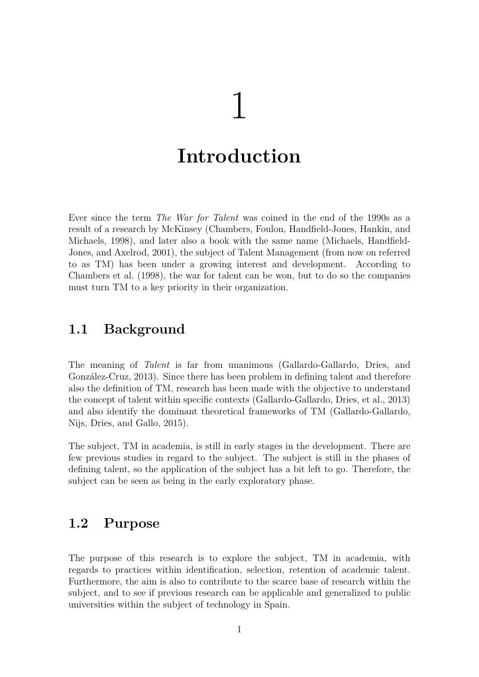# 1

# <span id="page-8-0"></span>**Introduction**

Ever since the term *The War for Talent* was coined in the end of the 1990s as a result of a research by McKinsey (Chambers, Foulon, Handfield-Jones, Hankin, and Michaels, [1998\)](#page-29-0), and later also a book with the same name (Michaels, Handfield-Jones, and Axelrod, [2001\)](#page-29-1), the subject of Talent Management (from now on referred to as TM) has been under a growing interest and development. According to Chambers et al. [\(1998\)](#page-29-0), the war for talent can be won, but to do so the companies must turn TM to a key priority in their organization.

## <span id="page-8-1"></span>**1.1 Background**

The meaning of *Talent* is far from unanimous (Gallardo-Gallardo, Dries, and González-Cruz, [2013\)](#page-29-2). Since there has been problem in defining talent and therefore also the definition of TM, research has been made with the objective to understand the concept of talent within specific contexts (Gallardo-Gallardo, Dries, et al., [2013\)](#page-29-2) and also identify the dominant theoretical frameworks of TM (Gallardo-Gallardo, Nijs, Dries, and Gallo, [2015\)](#page-29-3).

The subject, TM in academia, is still in early stages in the development. There are few previous studies in regard to the subject. The subject is still in the phases of defining talent, so the application of the subject has a bit left to go. Therefore, the subject can be seen as being in the early exploratory phase.

## <span id="page-8-2"></span>**1.2 Purpose**

The purpose of this research is to explore the subject, TM in academia, with regards to practices within identification, selection, retention of academic talent. Furthermore, the aim is also to contribute to the scarce base of research within the subject, and to see if previous research can be applicable and generalized to public universities within the subject of technology in Spain.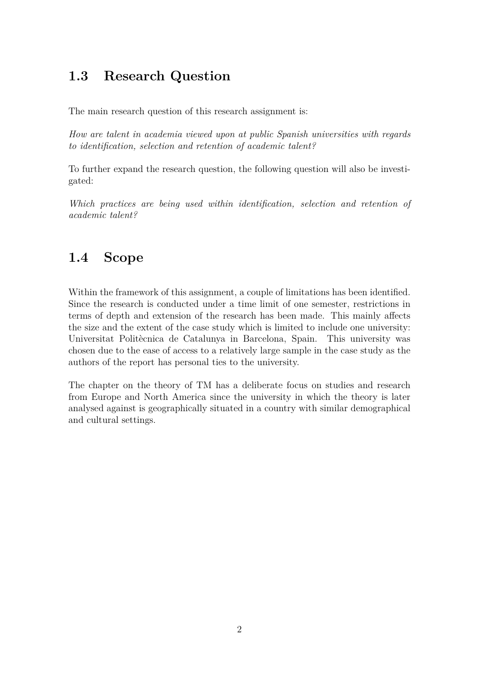# <span id="page-9-0"></span>**1.3 Research Question**

The main research question of this research assignment is:

*How are talent in academia viewed upon at public Spanish universities with regards to identification, selection and retention of academic talent?*

To further expand the research question, the following question will also be investigated:

*Which practices are being used within identification, selection and retention of academic talent?*

# <span id="page-9-1"></span>**1.4 Scope**

Within the framework of this assignment, a couple of limitations has been identified. Since the research is conducted under a time limit of one semester, restrictions in terms of depth and extension of the research has been made. This mainly affects the size and the extent of the case study which is limited to include one university: Universitat Politècnica de Catalunya in Barcelona, Spain. This university was chosen due to the ease of access to a relatively large sample in the case study as the authors of the report has personal ties to the university.

The chapter on the theory of TM has a deliberate focus on studies and research from Europe and North America since the university in which the theory is later analysed against is geographically situated in a country with similar demographical and cultural settings.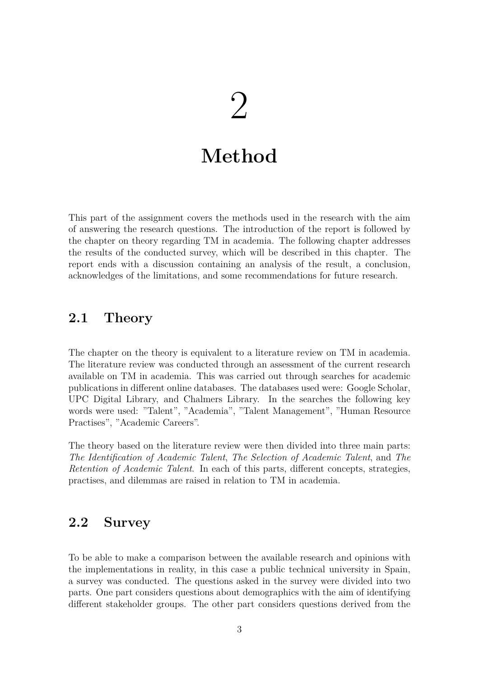# $\sum$

# **Method**

<span id="page-10-0"></span>This part of the assignment covers the methods used in the research with the aim of answering the research questions. The introduction of the report is followed by the chapter on theory regarding TM in academia. The following chapter addresses the results of the conducted survey, which will be described in this chapter. The report ends with a discussion containing an analysis of the result, a conclusion, acknowledges of the limitations, and some recommendations for future research.

# <span id="page-10-1"></span>**2.1 Theory**

The chapter on the theory is equivalent to a literature review on TM in academia. The literature review was conducted through an assessment of the current research available on TM in academia. This was carried out through searches for academic publications in different online databases. The databases used were: Google Scholar, UPC Digital Library, and Chalmers Library. In the searches the following key words were used: "Talent", "Academia", "Talent Management", "Human Resource Practises", "Academic Careers".

The theory based on the literature review were then divided into three main parts: *The Identification of Academic Talent*, *The Selection of Academic Talent*, and *The Retention of Academic Talent*. In each of this parts, different concepts, strategies, practises, and dilemmas are raised in relation to TM in academia.

## <span id="page-10-2"></span>**2.2 Survey**

To be able to make a comparison between the available research and opinions with the implementations in reality, in this case a public technical university in Spain, a survey was conducted. The questions asked in the survey were divided into two parts. One part considers questions about demographics with the aim of identifying different stakeholder groups. The other part considers questions derived from the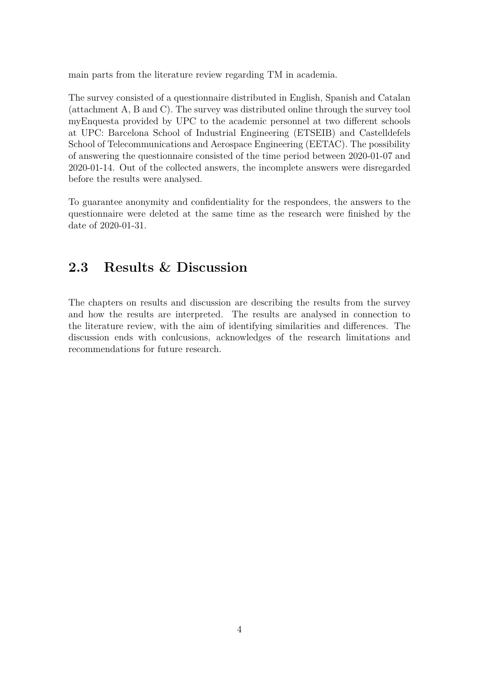main parts from the literature review regarding TM in academia.

The survey consisted of a questionnaire distributed in English, Spanish and Catalan (attachment [A,](#page-31-0) [B](#page-34-0) and [C\)](#page-37-0). The survey was distributed online through the survey tool myEnquesta provided by UPC to the academic personnel at two different schools at UPC: Barcelona School of Industrial Engineering (ETSEIB) and Castelldefels School of Telecommunications and Aerospace Engineering (EETAC). The possibility of answering the questionnaire consisted of the time period between 2020-01-07 and 2020-01-14. Out of the collected answers, the incomplete answers were disregarded before the results were analysed.

To guarantee anonymity and confidentiality for the respondees, the answers to the questionnaire were deleted at the same time as the research were finished by the date of 2020-01-31.

## <span id="page-11-0"></span>**2.3 Results & Discussion**

The chapters on results and discussion are describing the results from the survey and how the results are interpreted. The results are analysed in connection to the literature review, with the aim of identifying similarities and differences. The discussion ends with conlcusions, acknowledges of the research limitations and recommendations for future research.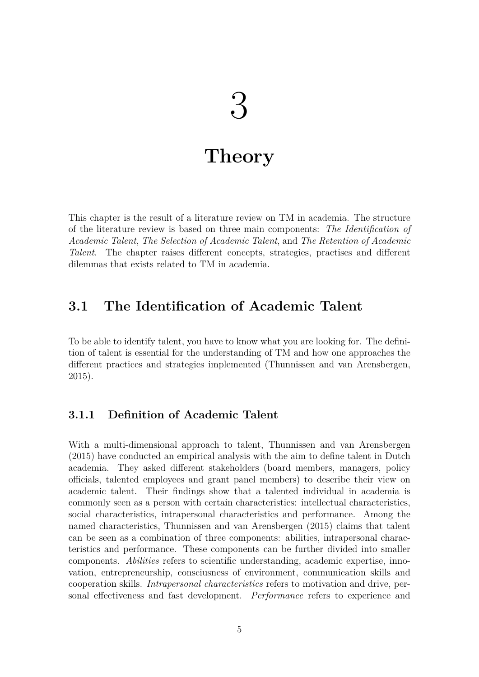# $\binom{1}{2}$

# **Theory**

<span id="page-12-0"></span>This chapter is the result of a literature review on TM in academia. The structure of the literature review is based on three main components: *The Identification of Academic Talent*, *The Selection of Academic Talent*, and *The Retention of Academic Talent*. The chapter raises different concepts, strategies, practises and different dilemmas that exists related to TM in academia.

## <span id="page-12-1"></span>**3.1 The Identification of Academic Talent**

To be able to identify talent, you have to know what you are looking for. The definition of talent is essential for the understanding of TM and how one approaches the different practices and strategies implemented (Thunnissen and van Arensbergen, [2015\)](#page-29-4).

#### <span id="page-12-2"></span>**3.1.1 Definition of Academic Talent**

With a multi-dimensional approach to talent, Thunnissen and van Arensbergen [\(2015\)](#page-29-4) have conducted an empirical analysis with the aim to define talent in Dutch academia. They asked different stakeholders (board members, managers, policy officials, talented employees and grant panel members) to describe their view on academic talent. Their findings show that a talented individual in academia is commonly seen as a person with certain characteristics: intellectual characteristics, social characteristics, intrapersonal characteristics and performance. Among the named characteristics, Thunnissen and van Arensbergen [\(2015\)](#page-29-4) claims that talent can be seen as a combination of three components: abilities, intrapersonal characteristics and performance. These components can be further divided into smaller components. *Abilities* refers to scientific understanding, academic expertise, innovation, entrepreneurship, consciusness of environment, communication skills and cooperation skills. *Intrapersonal characteristics* refers to motivation and drive, personal effectiveness and fast development. *Performance* refers to experience and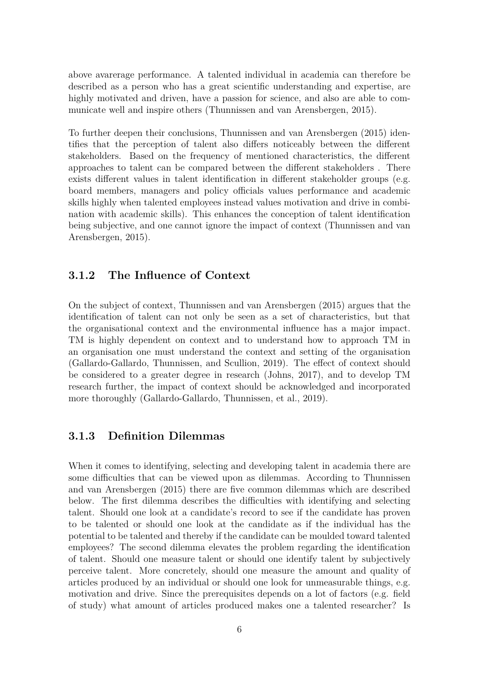above avarerage performance. A talented individual in academia can therefore be described as a person who has a great scientific understanding and expertise, are highly motivated and driven, have a passion for science, and also are able to communicate well and inspire others (Thunnissen and van Arensbergen, [2015\)](#page-29-4).

To further deepen their conclusions, Thunnissen and van Arensbergen [\(2015\)](#page-29-4) identifies that the perception of talent also differs noticeably between the different stakeholders. Based on the frequency of mentioned characteristics, the different approaches to talent can be compared between the different stakeholders . There exists different values in talent identification in different stakeholder groups (e.g. board members, managers and policy officials values performance and academic skills highly when talented employees instead values motivation and drive in combination with academic skills). This enhances the conception of talent identification being subjective, and one cannot ignore the impact of context (Thunnissen and van Arensbergen, [2015\)](#page-29-4).

#### <span id="page-13-0"></span>**3.1.2 The Influence of Context**

On the subject of context, Thunnissen and van Arensbergen [\(2015\)](#page-29-4) argues that the identification of talent can not only be seen as a set of characteristics, but that the organisational context and the environmental influence has a major impact. TM is highly dependent on context and to understand how to approach TM in an organisation one must understand the context and setting of the organisation (Gallardo-Gallardo, Thunnissen, and Scullion, [2019\)](#page-29-5). The effect of context should be considered to a greater degree in research (Johns, [2017\)](#page-29-6), and to develop TM research further, the impact of context should be acknowledged and incorporated more thoroughly (Gallardo-Gallardo, Thunnissen, et al., [2019\)](#page-29-5).

#### <span id="page-13-1"></span>**3.1.3 Definition Dilemmas**

When it comes to identifying, selecting and developing talent in academia there are some difficulties that can be viewed upon as dilemmas. According to Thunnissen and van Arensbergen [\(2015\)](#page-29-4) there are five common dilemmas which are described below. The first dilemma describes the difficulties with identifying and selecting talent. Should one look at a candidate's record to see if the candidate has proven to be talented or should one look at the candidate as if the individual has the potential to be talented and thereby if the candidate can be moulded toward talented employees? The second dilemma elevates the problem regarding the identification of talent. Should one measure talent or should one identify talent by subjectively perceive talent. More concretely, should one measure the amount and quality of articles produced by an individual or should one look for unmeasurable things, e.g. motivation and drive. Since the prerequisites depends on a lot of factors (e.g. field of study) what amount of articles produced makes one a talented researcher? Is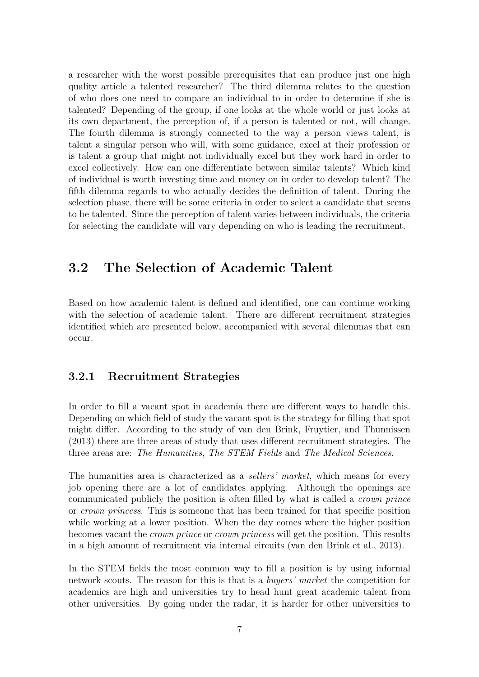a researcher with the worst possible prerequisites that can produce just one high quality article a talented researcher? The third dilemma relates to the question of who does one need to compare an individual to in order to determine if she is talented? Depending of the group, if one looks at the whole world or just looks at its own department, the perception of, if a person is talented or not, will change. The fourth dilemma is strongly connected to the way a person views talent, is talent a singular person who will, with some guidance, excel at their profession or is talent a group that might not individually excel but they work hard in order to excel collectively. How can one differentiate between similar talents? Which kind of individual is worth investing time and money on in order to develop talent? The fifth dilemma regards to who actually decides the definition of talent. During the selection phase, there will be some criteria in order to select a candidate that seems to be talented. Since the perception of talent varies between individuals, the criteria for selecting the candidate will vary depending on who is leading the recruitment.

## <span id="page-14-0"></span>**3.2 The Selection of Academic Talent**

Based on how academic talent is defined and identified, one can continue working with the selection of academic talent. There are different recruitment strategies identified which are presented below, accompanied with several dilemmas that can occur.

#### <span id="page-14-1"></span>**3.2.1 Recruitment Strategies**

In order to fill a vacant spot in academia there are different ways to handle this. Depending on which field of study the vacant spot is the strategy for filling that spot might differ. According to the study of van den Brink, Fruytier, and Thunnissen [\(2013\)](#page-30-0) there are three areas of study that uses different recruitment strategies. The three areas are: *The Humanities*, *The STEM Fields* and *The Medical Sciences*.

The humanities area is characterized as a *sellers' market*, which means for every job opening there are a lot of candidates applying. Although the openings are communicated publicly the position is often filled by what is called a *crown prince* or *crown princess*. This is someone that has been trained for that specific position while working at a lower position. When the day comes where the higher position becomes vacant the *crown prince* or *crown princess* will get the position. This results in a high amount of recruitment via internal circuits (van den Brink et al., [2013\)](#page-30-0).

In the STEM fields the most common way to fill a position is by using informal network scouts. The reason for this is that is a *buyers' market* the competition for academics are high and universities try to head hunt great academic talent from other universities. By going under the radar, it is harder for other universities to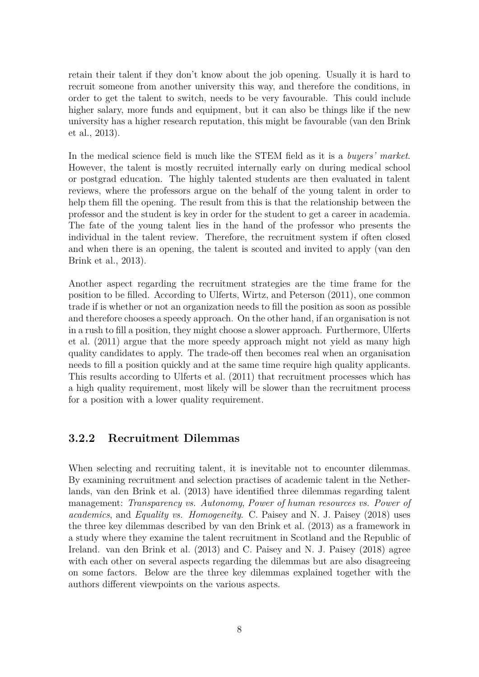retain their talent if they don't know about the job opening. Usually it is hard to recruit someone from another university this way, and therefore the conditions, in order to get the talent to switch, needs to be very favourable. This could include higher salary, more funds and equipment, but it can also be things like if the new university has a higher research reputation, this might be favourable (van den Brink et al., [2013\)](#page-30-0).

In the medical science field is much like the STEM field as it is a *buyers' market*. However, the talent is mostly recruited internally early on during medical school or postgrad education. The highly talented students are then evaluated in talent reviews, where the professors argue on the behalf of the young talent in order to help them fill the opening. The result from this is that the relationship between the professor and the student is key in order for the student to get a career in academia. The fate of the young talent lies in the hand of the professor who presents the individual in the talent review. Therefore, the recruitment system if often closed and when there is an opening, the talent is scouted and invited to apply (van den Brink et al., [2013\)](#page-30-0).

Another aspect regarding the recruitment strategies are the time frame for the position to be filled. According to Ulferts, Wirtz, and Peterson [\(2011\)](#page-30-1), one common trade if is whether or not an organization needs to fill the position as soon as possible and therefore chooses a speedy approach. On the other hand, if an organisation is not in a rush to fill a position, they might choose a slower approach. Furthermore, Ulferts et al. [\(2011\)](#page-30-1) argue that the more speedy approach might not yield as many high quality candidates to apply. The trade-off then becomes real when an organisation needs to fill a position quickly and at the same time require high quality applicants. This results according to Ulferts et al. [\(2011\)](#page-30-1) that recruitment processes which has a high quality requirement, most likely will be slower than the recruitment process for a position with a lower quality requirement.

#### <span id="page-15-0"></span>**3.2.2 Recruitment Dilemmas**

When selecting and recruiting talent, it is inevitable not to encounter dilemmas. By examining recruitment and selection practises of academic talent in the Netherlands, van den Brink et al. [\(2013\)](#page-30-0) have identified three dilemmas regarding talent management: *Transparency vs. Autonomy*, *Power of human resources vs. Power of academics*, and *Equality vs. Homogeneity*. C. Paisey and N. J. Paisey [\(2018\)](#page-29-7) uses the three key dilemmas described by van den Brink et al. [\(2013\)](#page-30-0) as a framework in a study where they examine the talent recruitment in Scotland and the Republic of Ireland. van den Brink et al. [\(2013\)](#page-30-0) and C. Paisey and N. J. Paisey [\(2018\)](#page-29-7) agree with each other on several aspects regarding the dilemmas but are also disagreeing on some factors. Below are the three key dilemmas explained together with the authors different viewpoints on the various aspects.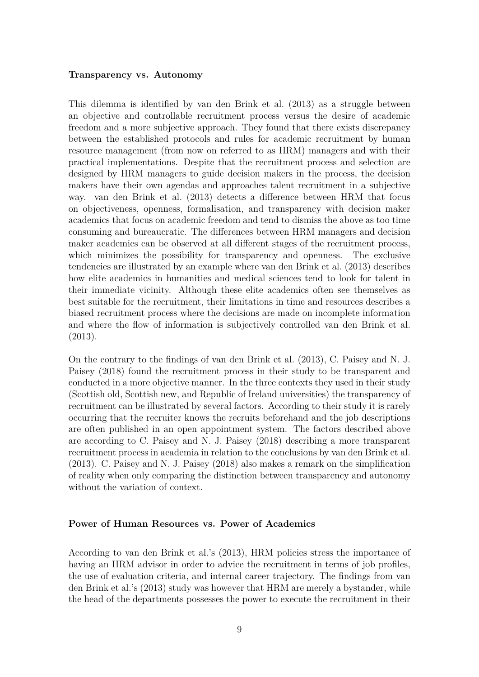#### **Transparency vs. Autonomy**

This dilemma is identified by van den Brink et al. [\(2013\)](#page-30-0) as a struggle between an objective and controllable recruitment process versus the desire of academic freedom and a more subjective approach. They found that there exists discrepancy between the established protocols and rules for academic recruitment by human resource management (from now on referred to as HRM) managers and with their practical implementations. Despite that the recruitment process and selection are designed by HRM managers to guide decision makers in the process, the decision makers have their own agendas and approaches talent recruitment in a subjective way. van den Brink et al. [\(2013\)](#page-30-0) detects a difference between HRM that focus on objectiveness, openness, formalisation, and transparency with decision maker academics that focus on academic freedom and tend to dismiss the above as too time consuming and bureaucratic. The differences between HRM managers and decision maker academics can be observed at all different stages of the recruitment process, which minimizes the possibility for transparency and openness. The exclusive tendencies are illustrated by an example where van den Brink et al. [\(2013\)](#page-30-0) describes how elite academics in humanities and medical sciences tend to look for talent in their immediate vicinity. Although these elite academics often see themselves as best suitable for the recruitment, their limitations in time and resources describes a biased recruitment process where the decisions are made on incomplete information and where the flow of information is subjectively controlled van den Brink et al. [\(2013\)](#page-30-0).

On the contrary to the findings of van den Brink et al. [\(2013\)](#page-30-0), C. Paisey and N. J. Paisey [\(2018\)](#page-29-7) found the recruitment process in their study to be transparent and conducted in a more objective manner. In the three contexts they used in their study (Scottish old, Scottish new, and Republic of Ireland universities) the transparency of recruitment can be illustrated by several factors. According to their study it is rarely occurring that the recruiter knows the recruits beforehand and the job descriptions are often published in an open appointment system. The factors described above are according to C. Paisey and N. J. Paisey [\(2018\)](#page-29-7) describing a more transparent recruitment process in academia in relation to the conclusions by van den Brink et al. [\(2013\)](#page-30-0). C. Paisey and N. J. Paisey [\(2018\)](#page-29-7) also makes a remark on the simplification of reality when only comparing the distinction between transparency and autonomy without the variation of context.

#### **Power of Human Resources vs. Power of Academics**

According to van den Brink et al.'s (2013), HRM policies stress the importance of having an HRM advisor in order to advice the recruitment in terms of job profiles, the use of evaluation criteria, and internal career trajectory. The findings from van den Brink et al.'s (2013) study was however that HRM are merely a bystander, while the head of the departments possesses the power to execute the recruitment in their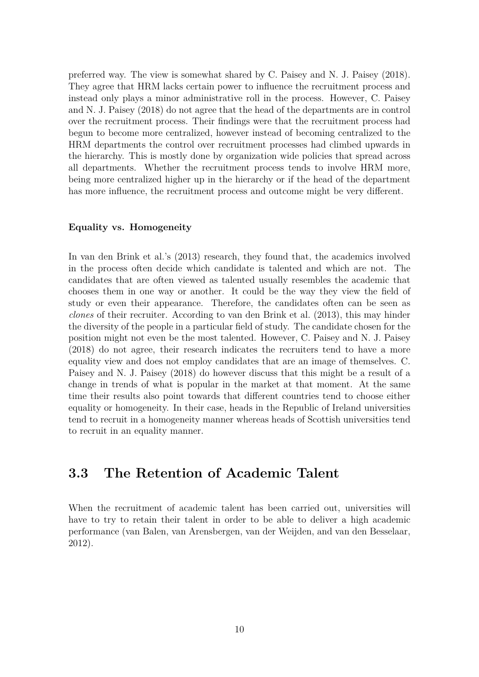preferred way. The view is somewhat shared by C. Paisey and N. J. Paisey [\(2018\)](#page-29-7). They agree that HRM lacks certain power to influence the recruitment process and instead only plays a minor administrative roll in the process. However, C. Paisey and N. J. Paisey [\(2018\)](#page-29-7) do not agree that the head of the departments are in control over the recruitment process. Their findings were that the recruitment process had begun to become more centralized, however instead of becoming centralized to the HRM departments the control over recruitment processes had climbed upwards in the hierarchy. This is mostly done by organization wide policies that spread across all departments. Whether the recruitment process tends to involve HRM more, being more centralized higher up in the hierarchy or if the head of the department has more influence, the recruitment process and outcome might be very different.

#### **Equality vs. Homogeneity**

In van den Brink et al.'s (2013) research, they found that, the academics involved in the process often decide which candidate is talented and which are not. The candidates that are often viewed as talented usually resembles the academic that chooses them in one way or another. It could be the way they view the field of study or even their appearance. Therefore, the candidates often can be seen as *clones* of their recruiter. According to van den Brink et al. [\(2013\)](#page-30-0), this may hinder the diversity of the people in a particular field of study. The candidate chosen for the position might not even be the most talented. However, C. Paisey and N. J. Paisey [\(2018\)](#page-29-7) do not agree, their research indicates the recruiters tend to have a more equality view and does not employ candidates that are an image of themselves. C. Paisey and N. J. Paisey [\(2018\)](#page-29-7) do however discuss that this might be a result of a change in trends of what is popular in the market at that moment. At the same time their results also point towards that different countries tend to choose either equality or homogeneity. In their case, heads in the Republic of Ireland universities tend to recruit in a homogeneity manner whereas heads of Scottish universities tend to recruit in an equality manner.

## <span id="page-17-0"></span>**3.3 The Retention of Academic Talent**

When the recruitment of academic talent has been carried out, universities will have to try to retain their talent in order to be able to deliver a high academic performance (van Balen, van Arensbergen, van der Weijden, and van den Besselaar, [2012\)](#page-30-2).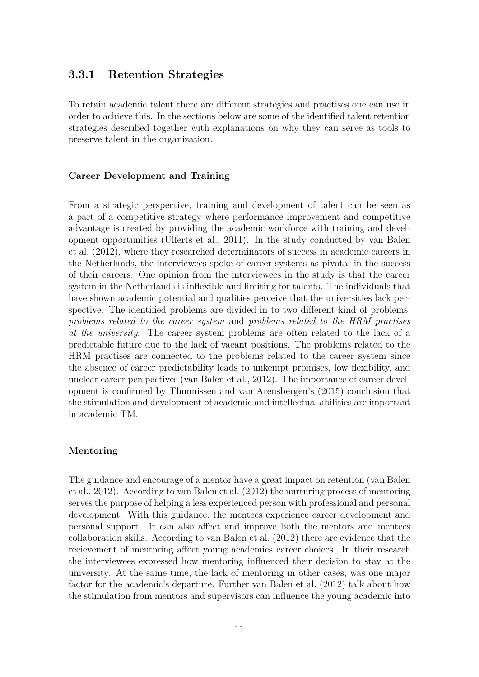#### <span id="page-18-0"></span>**3.3.1 Retention Strategies**

To retain academic talent there are different strategies and practises one can use in order to achieve this. In the sections below are some of the identified talent retention strategies described together with explanations on why they can serve as tools to preserve talent in the organization.

#### **Career Development and Training**

From a strategic perspective, training and development of talent can be seen as a part of a competitive strategy where performance improvement and competitive advantage is created by providing the academic workforce with training and development opportunities (Ulferts et al., [2011\)](#page-30-1). In the study conducted by van Balen et al. [\(2012\)](#page-30-2), where they researched determinators of success in academic careers in the Netherlands, the interviewees spoke of career systems as pivotal in the success of their careers. One opinion from the interviewees in the study is that the career system in the Netherlands is inflexible and limiting for talents. The individuals that have shown academic potential and qualities perceive that the universities lack perspective. The identified problems are divided in to two different kind of problems: *problems related to the career system* and *problems related to the HRM practises at the university*. The career system problems are often related to the lack of a predictable future due to the lack of vacant positions. The problems related to the HRM practises are connected to the problems related to the career system since the absence of career predictability leads to unkempt promises, low flexibility, and unclear career perspectives (van Balen et al., [2012\)](#page-30-2). The importance of career development is confirmed by Thunnissen and van Arensbergen's (2015) conclusion that the stimulation and development of academic and intellectual abilities are important in academic TM.

#### **Mentoring**

The guidance and encourage of a mentor have a great impact on retention (van Balen et al., [2012\)](#page-30-2). According to van Balen et al. [\(2012\)](#page-30-2) the nurturing process of mentoring serves the purpose of helping a less experienced person with professional and personal development. With this guidance, the mentees experience career development and personal support. It can also affect and improve both the mentors and mentees collaboration skills. According to van Balen et al. [\(2012\)](#page-30-2) there are evidence that the recievement of mentoring affect young academics career choices. In their research the interviewees expressed how mentoring influenced their decision to stay at the university. At the same time, the lack of mentoring in other cases, was one major factor for the academic's departure. Further van Balen et al. [\(2012\)](#page-30-2) talk about how the stimulation from mentors and supervisors can influence the young academic into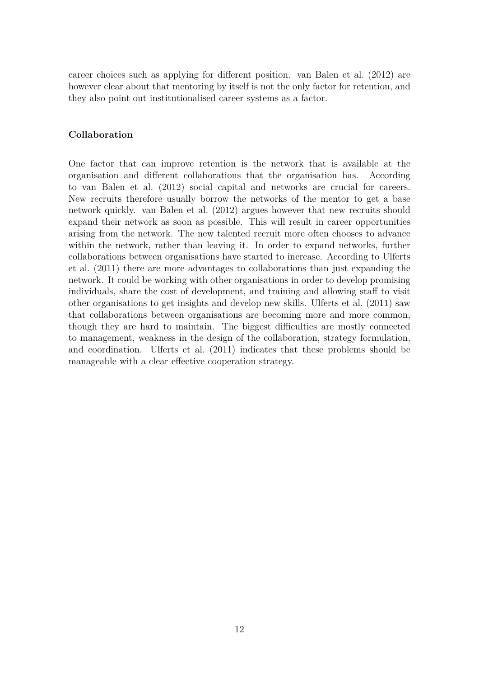career choices such as applying for different position. van Balen et al. [\(2012\)](#page-30-2) are however clear about that mentoring by itself is not the only factor for retention, and they also point out institutionalised career systems as a factor.

#### **Collaboration**

One factor that can improve retention is the network that is available at the organisation and different collaborations that the organisation has. According to van Balen et al. [\(2012\)](#page-30-2) social capital and networks are crucial for careers. New recruits therefore usually borrow the networks of the mentor to get a base network quickly. van Balen et al. [\(2012\)](#page-30-2) argues however that new recruits should expand their network as soon as possible. This will result in career opportunities arising from the network. The new talented recruit more often chooses to advance within the network, rather than leaving it. In order to expand networks, further collaborations between organisations have started to increase. According to Ulferts et al. [\(2011\)](#page-30-1) there are more advantages to collaborations than just expanding the network. It could be working with other organisations in order to develop promising individuals, share the cost of development, and training and allowing staff to visit other organisations to get insights and develop new skills. Ulferts et al. [\(2011\)](#page-30-1) saw that collaborations between organisations are becoming more and more common, though they are hard to maintain. The biggest difficulties are mostly connected to management, weakness in the design of the collaboration, strategy formulation, and coordination. Ulferts et al. [\(2011\)](#page-30-1) indicates that these problems should be manageable with a clear effective cooperation strategy.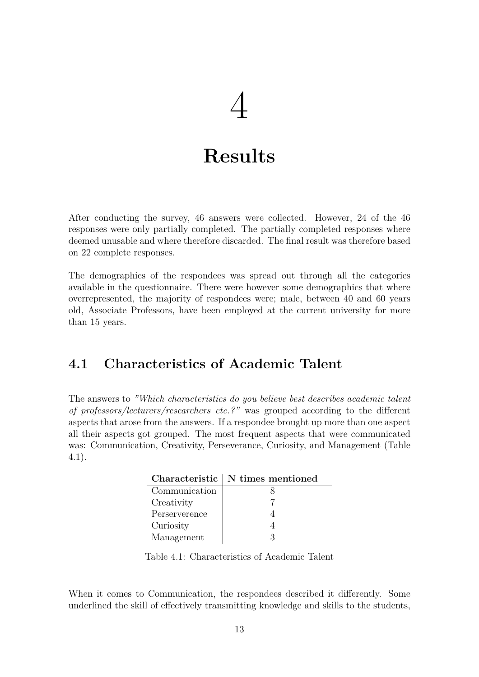# 4

# **Results**

<span id="page-20-0"></span>After conducting the survey, 46 answers were collected. However, 24 of the 46 responses were only partially completed. The partially completed responses where deemed unusable and where therefore discarded. The final result was therefore based on 22 complete responses.

The demographics of the respondees was spread out through all the categories available in the questionnaire. There were however some demographics that where overrepresented, the majority of respondees were; male, between 40 and 60 years old, Associate Professors, have been employed at the current university for more than 15 years.

## <span id="page-20-1"></span>**4.1 Characteristics of Academic Talent**

<span id="page-20-2"></span>The answers to *"Which characteristics do you believe best describes academic talent of professors/lecturers/researchers etc.?"* was grouped according to the different aspects that arose from the answers. If a respondee brought up more than one aspect all their aspects got grouped. The most frequent aspects that were communicated was: Communication, Creativity, Perseverance, Curiosity, and Management (Table [4.1\)](#page-20-2).

|               | Characteristic   N times mentioned |  |  |  |  |  |  |
|---------------|------------------------------------|--|--|--|--|--|--|
| Communication |                                    |  |  |  |  |  |  |
| Creativity    |                                    |  |  |  |  |  |  |
| Perserverence |                                    |  |  |  |  |  |  |
| Curiosity     |                                    |  |  |  |  |  |  |
| Management    |                                    |  |  |  |  |  |  |

Table 4.1: Characteristics of Academic Talent

When it comes to Communication, the respondees described it differently. Some underlined the skill of effectively transmitting knowledge and skills to the students,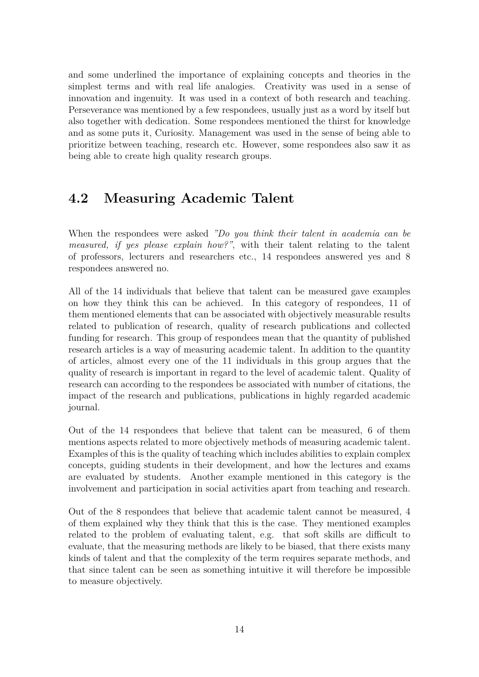and some underlined the importance of explaining concepts and theories in the simplest terms and with real life analogies. Creativity was used in a sense of innovation and ingenuity. It was used in a context of both research and teaching. Perseverance was mentioned by a few respondees, usually just as a word by itself but also together with dedication. Some respondees mentioned the thirst for knowledge and as some puts it, Curiosity. Management was used in the sense of being able to prioritize between teaching, research etc. However, some respondees also saw it as being able to create high quality research groups.

# <span id="page-21-0"></span>**4.2 Measuring Academic Talent**

When the respondees were asked *"Do you think their talent in academia can be measured, if yes please explain how?"*, with their talent relating to the talent of professors, lecturers and researchers etc., 14 respondees answered yes and 8 respondees answered no.

All of the 14 individuals that believe that talent can be measured gave examples on how they think this can be achieved. In this category of respondees, 11 of them mentioned elements that can be associated with objectively measurable results related to publication of research, quality of research publications and collected funding for research. This group of respondees mean that the quantity of published research articles is a way of measuring academic talent. In addition to the quantity of articles, almost every one of the 11 individuals in this group argues that the quality of research is important in regard to the level of academic talent. Quality of research can according to the respondees be associated with number of citations, the impact of the research and publications, publications in highly regarded academic journal.

Out of the 14 respondees that believe that talent can be measured, 6 of them mentions aspects related to more objectively methods of measuring academic talent. Examples of this is the quality of teaching which includes abilities to explain complex concepts, guiding students in their development, and how the lectures and exams are evaluated by students. Another example mentioned in this category is the involvement and participation in social activities apart from teaching and research.

Out of the 8 respondees that believe that academic talent cannot be measured, 4 of them explained why they think that this is the case. They mentioned examples related to the problem of evaluating talent, e.g. that soft skills are difficult to evaluate, that the measuring methods are likely to be biased, that there exists many kinds of talent and that the complexity of the term requires separate methods, and that since talent can be seen as something intuitive it will therefore be impossible to measure objectively.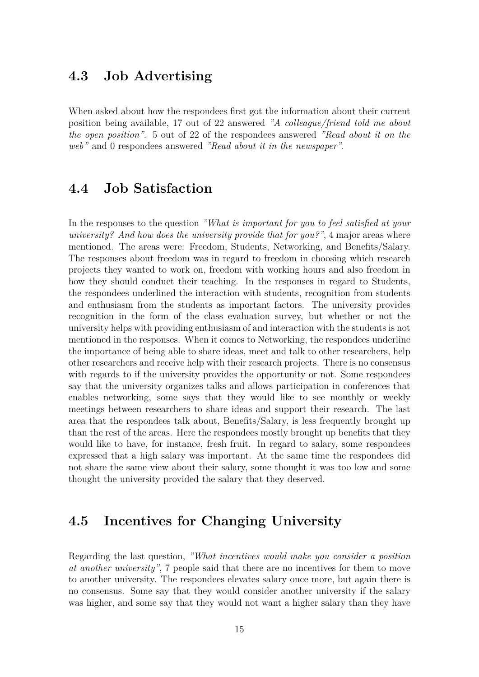## <span id="page-22-0"></span>**4.3 Job Advertising**

When asked about how the respondees first got the information about their current position being available, 17 out of 22 answered *"A colleague/friend told me about the open position"*. 5 out of 22 of the respondees answered *"Read about it on the web"* and 0 respondees answered *"Read about it in the newspaper"*.

### <span id="page-22-1"></span>**4.4 Job Satisfaction**

In the responses to the question *"What is important for you to feel satisfied at your university? And how does the university provide that for you?"*, 4 major areas where mentioned. The areas were: Freedom, Students, Networking, and Benefits/Salary. The responses about freedom was in regard to freedom in choosing which research projects they wanted to work on, freedom with working hours and also freedom in how they should conduct their teaching. In the responses in regard to Students, the respondees underlined the interaction with students, recognition from students and enthusiasm from the students as important factors. The university provides recognition in the form of the class evaluation survey, but whether or not the university helps with providing enthusiasm of and interaction with the students is not mentioned in the responses. When it comes to Networking, the respondees underline the importance of being able to share ideas, meet and talk to other researchers, help other researchers and receive help with their research projects. There is no consensus with regards to if the university provides the opportunity or not. Some respondees say that the university organizes talks and allows participation in conferences that enables networking, some says that they would like to see monthly or weekly meetings between researchers to share ideas and support their research. The last area that the respondees talk about, Benefits/Salary, is less frequently brought up than the rest of the areas. Here the respondees mostly brought up benefits that they would like to have, for instance, fresh fruit. In regard to salary, some respondees expressed that a high salary was important. At the same time the respondees did not share the same view about their salary, some thought it was too low and some thought the university provided the salary that they deserved.

## <span id="page-22-2"></span>**4.5 Incentives for Changing University**

Regarding the last question, *"What incentives would make you consider a position at another university"*, 7 people said that there are no incentives for them to move to another university. The respondees elevates salary once more, but again there is no consensus. Some say that they would consider another university if the salary was higher, and some say that they would not want a higher salary than they have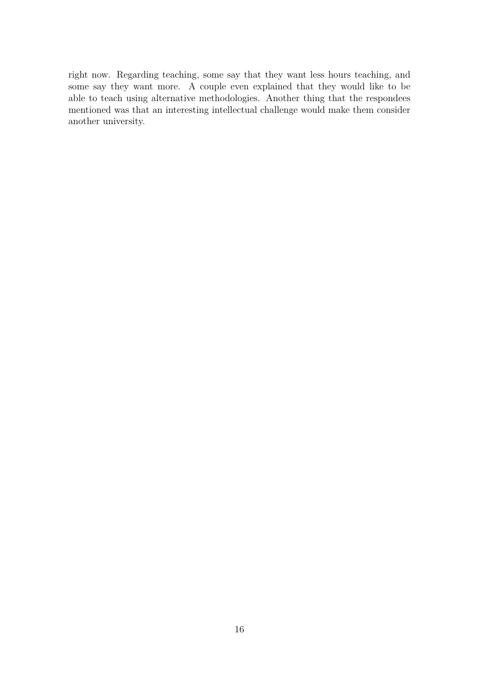right now. Regarding teaching, some say that they want less hours teaching, and some say they want more. A couple even explained that they would like to be able to teach using alternative methodologies. Another thing that the respondees mentioned was that an interesting intellectual challenge would make them consider another university.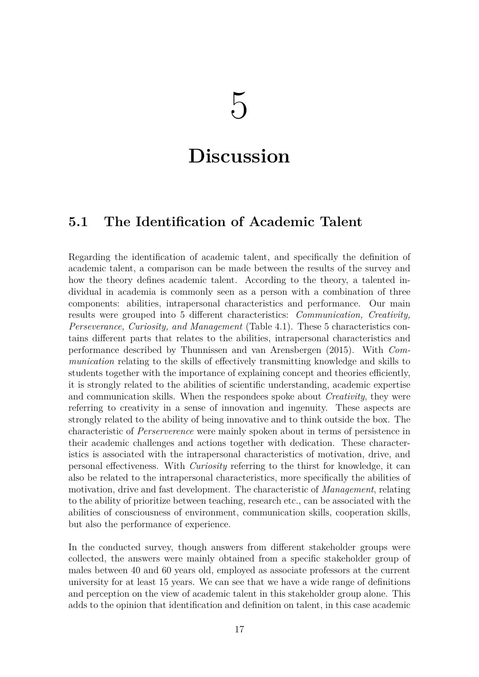# <span id="page-24-0"></span>**Discussion**

## <span id="page-24-1"></span>**5.1 The Identification of Academic Talent**

Regarding the identification of academic talent, and specifically the definition of academic talent, a comparison can be made between the results of the survey and how the theory defines academic talent. According to the theory, a talented individual in academia is commonly seen as a person with a combination of three components: abilities, intrapersonal characteristics and performance. Our main results were grouped into 5 different characteristics: *Communication, Creativity, Perseverance, Curiosity, and Management* (Table [4.1\)](#page-20-2). These 5 characteristics contains different parts that relates to the abilities, intrapersonal characteristics and performance described by Thunnissen and van Arensbergen [\(2015\)](#page-29-4). With *Communication* relating to the skills of effectively transmitting knowledge and skills to students together with the importance of explaining concept and theories efficiently, it is strongly related to the abilities of scientific understanding, academic expertise and communication skills. When the respondees spoke about *Creativity*, they were referring to creativity in a sense of innovation and ingenuity. These aspects are strongly related to the ability of being innovative and to think outside the box. The characteristic of *Perserverence* were mainly spoken about in terms of persistence in their academic challenges and actions together with dedication. These characteristics is associated with the intrapersonal characteristics of motivation, drive, and personal effectiveness. With *Curiosity* referring to the thirst for knowledge, it can also be related to the intrapersonal characteristics, more specifically the abilities of motivation, drive and fast development. The characteristic of *Management*, relating to the ability of prioritize between teaching, research etc., can be associated with the abilities of consciousness of environment, communication skills, cooperation skills, but also the performance of experience.

In the conducted survey, though answers from different stakeholder groups were collected, the answers were mainly obtained from a specific stakeholder group of males between 40 and 60 years old, employed as associate professors at the current university for at least 15 years. We can see that we have a wide range of definitions and perception on the view of academic talent in this stakeholder group alone. This adds to the opinion that identification and definition on talent, in this case academic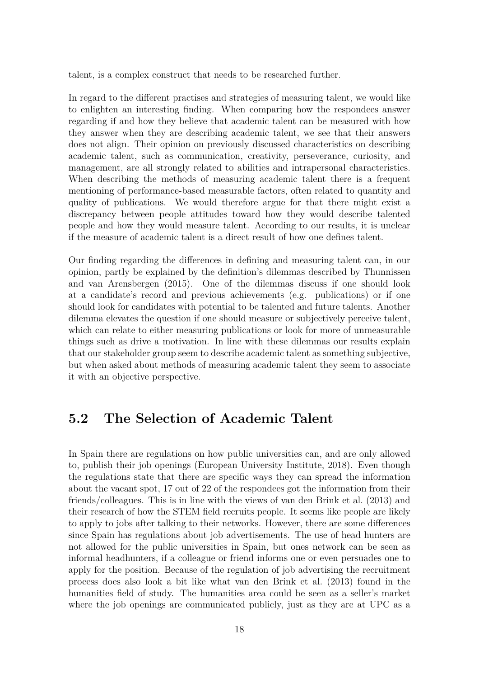talent, is a complex construct that needs to be researched further.

In regard to the different practises and strategies of measuring talent, we would like to enlighten an interesting finding. When comparing how the respondees answer regarding if and how they believe that academic talent can be measured with how they answer when they are describing academic talent, we see that their answers does not align. Their opinion on previously discussed characteristics on describing academic talent, such as communication, creativity, perseverance, curiosity, and management, are all strongly related to abilities and intrapersonal characteristics. When describing the methods of measuring academic talent there is a frequent mentioning of performance-based measurable factors, often related to quantity and quality of publications. We would therefore argue for that there might exist a discrepancy between people attitudes toward how they would describe talented people and how they would measure talent. According to our results, it is unclear if the measure of academic talent is a direct result of how one defines talent.

Our finding regarding the differences in defining and measuring talent can, in our opinion, partly be explained by the definition's dilemmas described by Thunnissen and van Arensbergen [\(2015\)](#page-29-4). One of the dilemmas discuss if one should look at a candidate's record and previous achievements (e.g. publications) or if one should look for candidates with potential to be talented and future talents. Another dilemma elevates the question if one should measure or subjectively perceive talent, which can relate to either measuring publications or look for more of unmeasurable things such as drive a motivation. In line with these dilemmas our results explain that our stakeholder group seem to describe academic talent as something subjective, but when asked about methods of measuring academic talent they seem to associate it with an objective perspective.

### <span id="page-25-0"></span>**5.2 The Selection of Academic Talent**

In Spain there are regulations on how public universities can, and are only allowed to, publish their job openings (European University Institute, [2018\)](#page-29-8). Even though the regulations state that there are specific ways they can spread the information about the vacant spot, 17 out of 22 of the respondees got the information from their friends/colleagues. This is in line with the views of van den Brink et al. [\(2013\)](#page-30-0) and their research of how the STEM field recruits people. It seems like people are likely to apply to jobs after talking to their networks. However, there are some differences since Spain has regulations about job advertisements. The use of head hunters are not allowed for the public universities in Spain, but ones network can be seen as informal headhunters, if a colleague or friend informs one or even persuades one to apply for the position. Because of the regulation of job advertising the recruitment process does also look a bit like what van den Brink et al. [\(2013\)](#page-30-0) found in the humanities field of study. The humanities area could be seen as a seller's market where the job openings are communicated publicly, just as they are at UPC as a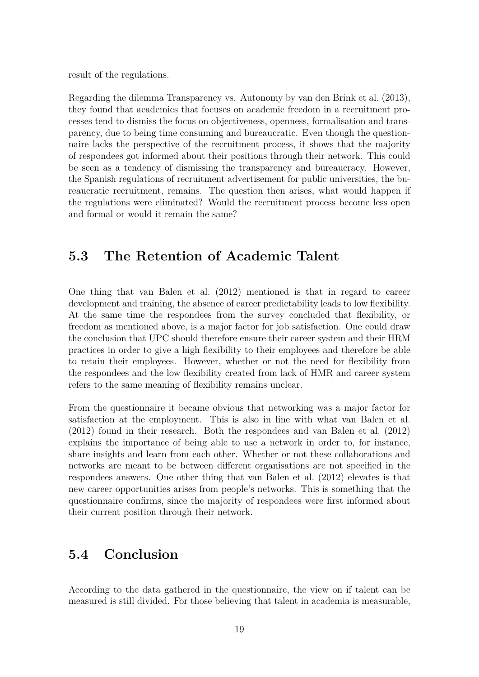result of the regulations.

Regarding the dilemma Transparency vs. Autonomy by van den Brink et al. [\(2013\)](#page-30-0), they found that academics that focuses on academic freedom in a recruitment processes tend to dismiss the focus on objectiveness, openness, formalisation and transparency, due to being time consuming and bureaucratic. Even though the questionnaire lacks the perspective of the recruitment process, it shows that the majority of respondees got informed about their positions through their network. This could be seen as a tendency of dismissing the transparency and bureaucracy. However, the Spanish regulations of recruitment advertisement for public universities, the bureaucratic recruitment, remains. The question then arises, what would happen if the regulations were eliminated? Would the recruitment process become less open and formal or would it remain the same?

## <span id="page-26-0"></span>**5.3 The Retention of Academic Talent**

One thing that van Balen et al. [\(2012\)](#page-30-2) mentioned is that in regard to career development and training, the absence of career predictability leads to low flexibility. At the same time the respondees from the survey concluded that flexibility, or freedom as mentioned above, is a major factor for job satisfaction. One could draw the conclusion that UPC should therefore ensure their career system and their HRM practices in order to give a high flexibility to their employees and therefore be able to retain their employees. However, whether or not the need for flexibility from the respondees and the low flexibility created from lack of HMR and career system refers to the same meaning of flexibility remains unclear.

From the questionnaire it became obvious that networking was a major factor for satisfaction at the employment. This is also in line with what van Balen et al. [\(2012\)](#page-30-2) found in their research. Both the respondees and van Balen et al. [\(2012\)](#page-30-2) explains the importance of being able to use a network in order to, for instance, share insights and learn from each other. Whether or not these collaborations and networks are meant to be between different organisations are not specified in the respondees answers. One other thing that van Balen et al. [\(2012\)](#page-30-2) elevates is that new career opportunities arises from people's networks. This is something that the questionnaire confirms, since the majority of respondees were first informed about their current position through their network.

## <span id="page-26-1"></span>**5.4 Conclusion**

According to the data gathered in the questionnaire, the view on if talent can be measured is still divided. For those believing that talent in academia is measurable,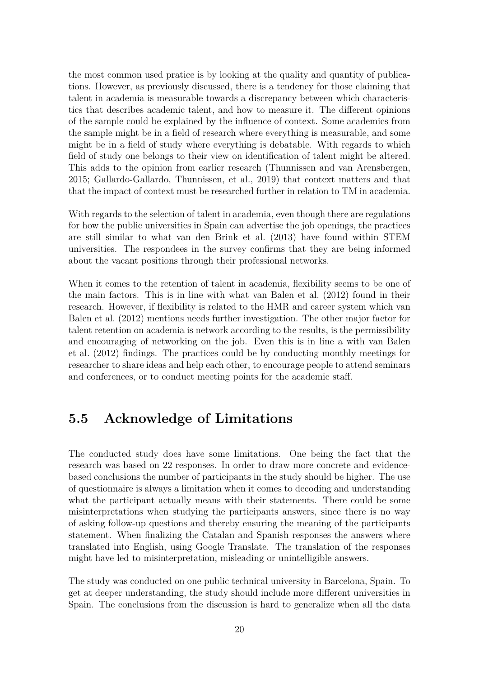the most common used pratice is by looking at the quality and quantity of publications. However, as previously discussed, there is a tendency for those claiming that talent in academia is measurable towards a discrepancy between which characteristics that describes academic talent, and how to measure it. The different opinions of the sample could be explained by the influence of context. Some academics from the sample might be in a field of research where everything is measurable, and some might be in a field of study where everything is debatable. With regards to which field of study one belongs to their view on identification of talent might be altered. This adds to the opinion from earlier research (Thunnissen and van Arensbergen, [2015;](#page-29-4) Gallardo-Gallardo, Thunnissen, et al., [2019\)](#page-29-5) that context matters and that that the impact of context must be researched further in relation to TM in academia.

With regards to the selection of talent in academia, even though there are regulations for how the public universities in Spain can advertise the job openings, the practices are still similar to what van den Brink et al. [\(2013\)](#page-30-0) have found within STEM universities. The respondees in the survey confirms that they are being informed about the vacant positions through their professional networks.

When it comes to the retention of talent in academia, flexibility seems to be one of the main factors. This is in line with what van Balen et al. [\(2012\)](#page-30-2) found in their research. However, if flexibility is related to the HMR and career system which van Balen et al. [\(2012\)](#page-30-2) mentions needs further investigation. The other major factor for talent retention on academia is network according to the results, is the permissibility and encouraging of networking on the job. Even this is in line a with van Balen et al. [\(2012\)](#page-30-2) findings. The practices could be by conducting monthly meetings for researcher to share ideas and help each other, to encourage people to attend seminars and conferences, or to conduct meeting points for the academic staff.

## <span id="page-27-0"></span>**5.5 Acknowledge of Limitations**

The conducted study does have some limitations. One being the fact that the research was based on 22 responses. In order to draw more concrete and evidencebased conclusions the number of participants in the study should be higher. The use of questionnaire is always a limitation when it comes to decoding and understanding what the participant actually means with their statements. There could be some misinterpretations when studying the participants answers, since there is no way of asking follow-up questions and thereby ensuring the meaning of the participants statement. When finalizing the Catalan and Spanish responses the answers where translated into English, using Google Translate. The translation of the responses might have led to misinterpretation, misleading or unintelligible answers.

The study was conducted on one public technical university in Barcelona, Spain. To get at deeper understanding, the study should include more different universities in Spain. The conclusions from the discussion is hard to generalize when all the data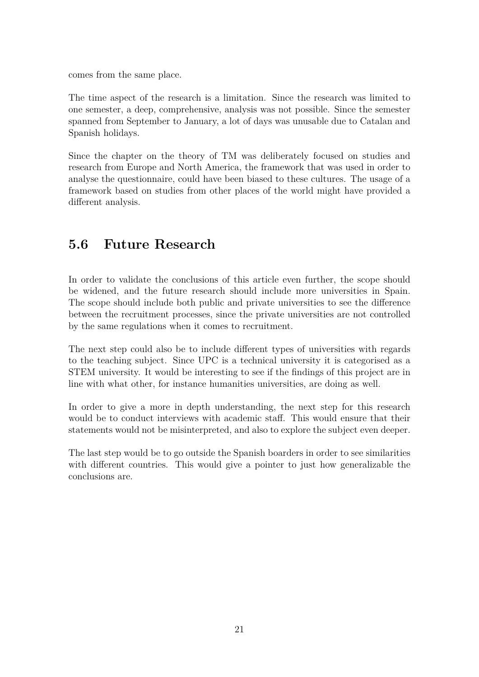comes from the same place.

The time aspect of the research is a limitation. Since the research was limited to one semester, a deep, comprehensive, analysis was not possible. Since the semester spanned from September to January, a lot of days was unusable due to Catalan and Spanish holidays.

Since the chapter on the theory of TM was deliberately focused on studies and research from Europe and North America, the framework that was used in order to analyse the questionnaire, could have been biased to these cultures. The usage of a framework based on studies from other places of the world might have provided a different analysis.

# <span id="page-28-0"></span>**5.6 Future Research**

In order to validate the conclusions of this article even further, the scope should be widened, and the future research should include more universities in Spain. The scope should include both public and private universities to see the difference between the recruitment processes, since the private universities are not controlled by the same regulations when it comes to recruitment.

The next step could also be to include different types of universities with regards to the teaching subject. Since UPC is a technical university it is categorised as a STEM university. It would be interesting to see if the findings of this project are in line with what other, for instance humanities universities, are doing as well.

In order to give a more in depth understanding, the next step for this research would be to conduct interviews with academic staff. This would ensure that their statements would not be misinterpreted, and also to explore the subject even deeper.

The last step would be to go outside the Spanish boarders in order to see similarities with different countries. This would give a pointer to just how generalizable the conclusions are.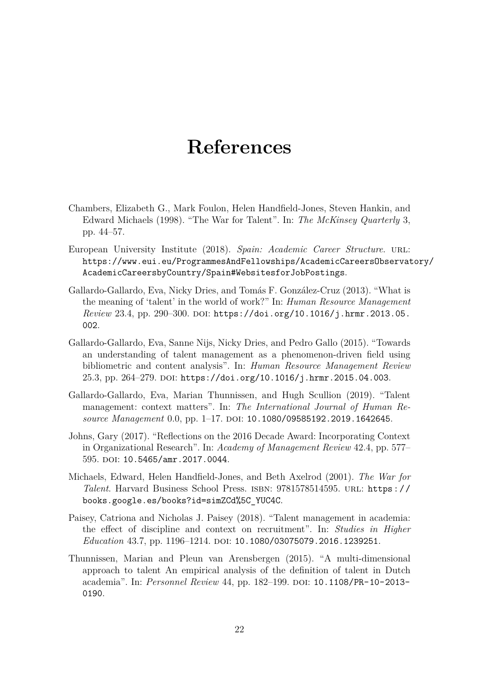# **References**

- <span id="page-29-0"></span>Chambers, Elizabeth G., Mark Foulon, Helen Handfield-Jones, Steven Hankin, and Edward Michaels (1998). "The War for Talent". In: *The McKinsey Quarterly* 3, pp. 44–57.
- <span id="page-29-8"></span>European University Institute (2018). *Spain: Academic Career Structure*. url: [https://www.eui.eu/ProgrammesAndFellowships/AcademicCareersObservat](https://www.eui.eu/ProgrammesAndFellowships/AcademicCareersObservatory/AcademicCareersbyCountry/Spain#WebsitesforJobPostings)ory/ [AcademicCareersbyCountry/Spain#WebsitesforJobPostings](https://www.eui.eu/ProgrammesAndFellowships/AcademicCareersObservatory/AcademicCareersbyCountry/Spain#WebsitesforJobPostings).
- <span id="page-29-2"></span>Gallardo-Gallardo, Eva, Nicky Dries, and Tomás F. González-Cruz (2013). "What is the meaning of 'talent' in the world of work?" In: *Human Resource Management Review* 23.4, pp. 290–300. doi: [https://doi.org/10.1016/j.hrmr.2013.05.](https://doi.org/https://doi.org/10.1016/j.hrmr.2013.05.002) [002](https://doi.org/https://doi.org/10.1016/j.hrmr.2013.05.002).
- <span id="page-29-3"></span>Gallardo-Gallardo, Eva, Sanne Nijs, Nicky Dries, and Pedro Gallo (2015). "Towards an understanding of talent management as a phenomenon-driven field using bibliometric and content analysis". In: *Human Resource Management Review* 25.3, pp. 264-279. DOI: [https://doi.org/10.1016/j.hrmr.2015.04.003](https://doi.org/https://doi.org/10.1016/j.hrmr.2015.04.003).
- <span id="page-29-5"></span>Gallardo-Gallardo, Eva, Marian Thunnissen, and Hugh Scullion (2019). "Talent management: context matters". In: *The International Journal of Human Resource Management* 0.0, pp. 1–17. DOI: [10.1080/09585192.2019.1642645](https://doi.org/10.1080/09585192.2019.1642645).
- <span id="page-29-6"></span>Johns, Gary (2017). "Reflections on the 2016 Decade Award: Incorporating Context in Organizational Research". In: *Academy of Management Review* 42.4, pp. 577– 595. DOI: [10.5465/amr.2017.0044](https://doi.org/10.5465/amr.2017.0044).
- <span id="page-29-1"></span>Michaels, Edward, Helen Handfield-Jones, and Beth Axelrod (2001). *The War for Talent*. Harvard Business School Press. isbn: 9781578514595. url: [https://](https://books.google.es/books?id=simZCd%5C_YUC4C) [books.google.es/books?id=simZCd%5C\\_YUC4C](https://books.google.es/books?id=simZCd%5C_YUC4C).
- <span id="page-29-7"></span>Paisey, Catriona and Nicholas J. Paisey (2018). "Talent management in academia: the effect of discipline and context on recruitment". In: *Studies in Higher Education* 43.7, pp. 1196–1214. poi: [10.1080/03075079.2016.1239251](https://doi.org/10.1080/03075079.2016.1239251).
- <span id="page-29-4"></span>Thunnissen, Marian and Pleun van Arensbergen (2015). "A multi-dimensional approach to talent An empirical analysis of the definition of talent in Dutch academia". In: *Personnel Review* 44, pp. 182-199. DOI: [10.1108/PR-10-2013-](https://doi.org/10.1108/PR-10-2013-0190) [0190](https://doi.org/10.1108/PR-10-2013-0190).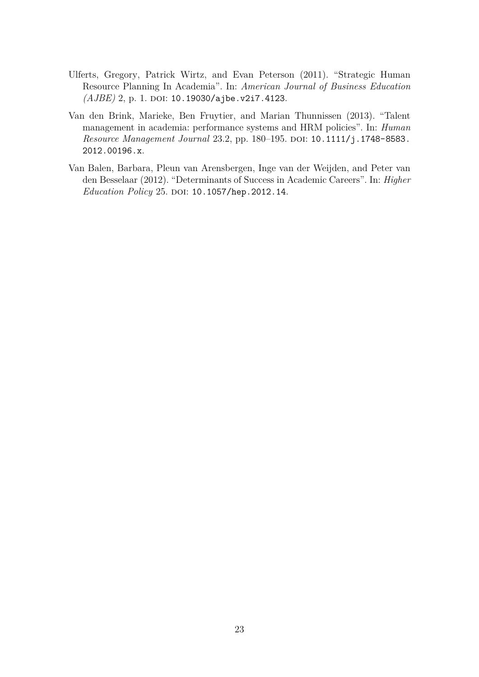- <span id="page-30-1"></span>Ulferts, Gregory, Patrick Wirtz, and Evan Peterson (2011). "Strategic Human Resource Planning In Academia". In: *American Journal of Business Education (AJBE)* 2, p. 1. doi: [10.19030/ajbe.v2i7.4123](https://doi.org/10.19030/ajbe.v2i7.4123).
- <span id="page-30-0"></span>Van den Brink, Marieke, Ben Fruytier, and Marian Thunnissen (2013). "Talent management in academia: performance systems and HRM policies". In: *Human Resource Management Journal* 23.2, pp. 180–195. doi: [10.1111/j.1748-8583.](https://doi.org/10.1111/j.1748-8583.2012.00196.x) [2012.00196.x](https://doi.org/10.1111/j.1748-8583.2012.00196.x).
- <span id="page-30-2"></span>Van Balen, Barbara, Pleun van Arensbergen, Inge van der Weijden, and Peter van den Besselaar (2012). "Determinants of Success in Academic Careers". In: *Higher Education Policy* 25. DOI: [10.1057/hep.2012.14](https://doi.org/10.1057/hep.2012.14).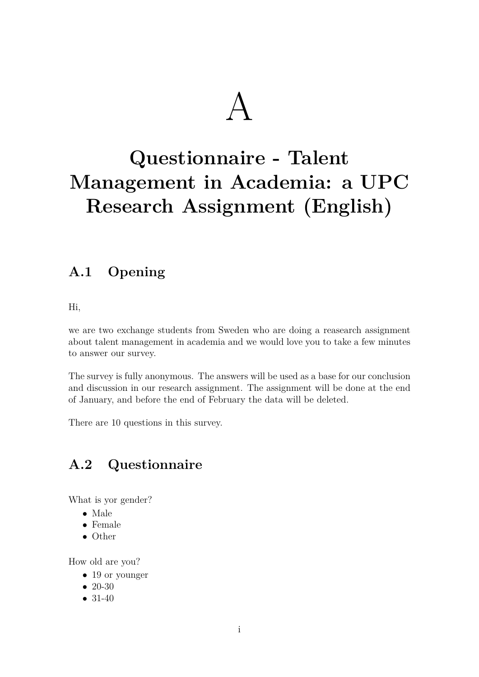# A

# <span id="page-31-0"></span>**Questionnaire - Talent Management in Academia: a UPC Research Assignment (English)**

# <span id="page-31-1"></span>**A.1 Opening**

Hi,

we are two exchange students from Sweden who are doing a reasearch assignment about talent management in academia and we would love you to take a few minutes to answer our survey.

The survey is fully anonymous. The answers will be used as a base for our conclusion and discussion in our research assignment. The assignment will be done at the end of January, and before the end of February the data will be deleted.

There are 10 questions in this survey.

# <span id="page-31-2"></span>**A.2 Questionnaire**

What is yor gender?

- Male
- Female
- Other

How old are you?

- 19 or younger
- $20-30$
- 31-40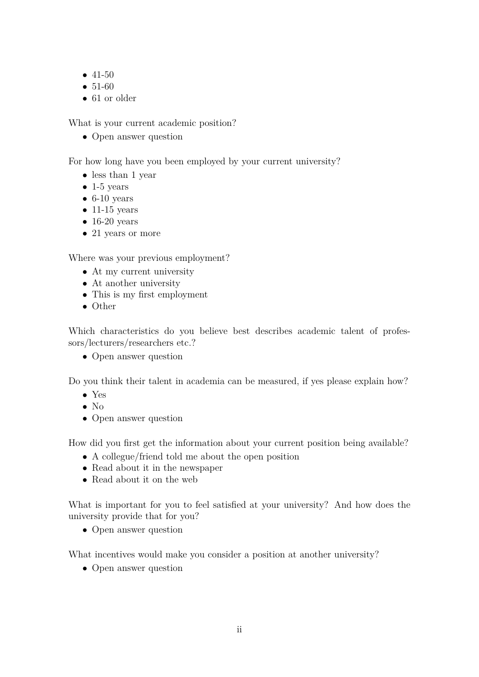- 41-50
- 51-60
- 61 or older

What is your current academic position?

• Open answer question

For how long have you been employed by your current university?

- less than 1 year
- $\bullet$  1-5 years
- $\bullet$  6-10 years
- $\bullet$  11-15 years
- $\bullet$  16-20 years
- 21 years or more

Where was your previous employment?

- At my current university
- At another university
- This is my first employment
- Other

Which characteristics do you believe best describes academic talent of professors/lecturers/researchers etc.?

• Open answer question

Do you think their talent in academia can be measured, if yes please explain how?

- Yes
- $\bullet$  No
- Open answer question

How did you first get the information about your current position being available?

- A collegue/friend told me about the open position
- Read about it in the newspaper
- Read about it on the web

What is important for you to feel satisfied at your university? And how does the university provide that for you?

• Open answer question

What incentives would make you consider a position at another university?

• Open answer question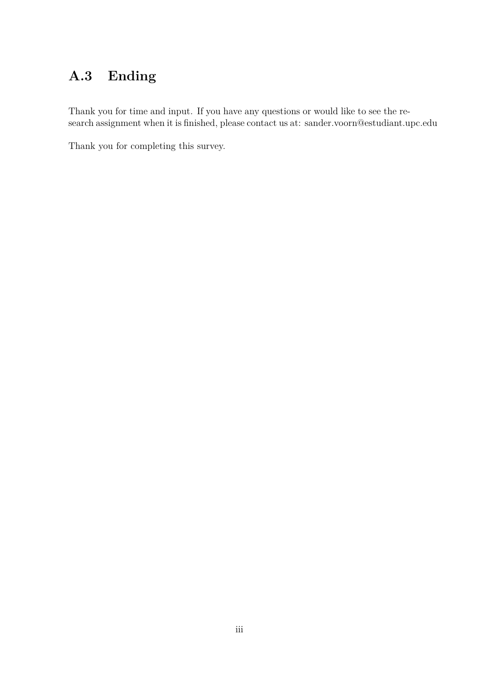# <span id="page-33-0"></span>**A.3 Ending**

Thank you for time and input. If you have any questions or would like to see the research assignment when it is finished, please contact us at: sander.voorn@estudiant.upc.edu

Thank you for completing this survey.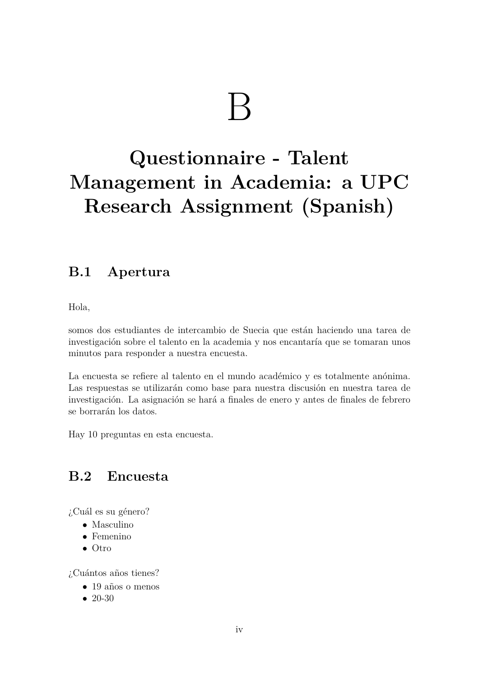# $\mathsf B$

# <span id="page-34-0"></span>**Questionnaire - Talent Management in Academia: a UPC Research Assignment (Spanish)**

# <span id="page-34-1"></span>**B.1 Apertura**

Hola,

somos dos estudiantes de intercambio de Suecia que están haciendo una tarea de investigación sobre el talento en la academia y nos encantaría que se tomaran unos minutos para responder a nuestra encuesta.

La encuesta se refiere al talento en el mundo académico y es totalmente anónima. Las respuestas se utilizarán como base para nuestra discusión en nuestra tarea de investigación. La asignación se hará a finales de enero y antes de finales de febrero se borrarán los datos.

Hay 10 preguntas en esta encuesta.

# <span id="page-34-2"></span>**B.2 Encuesta**

 $i$ Cuál es su género?

- Masculino
- Femenino
- Otro

¿Cuántos años tienes?

- $\bullet$  19 años o menos
- $20-30$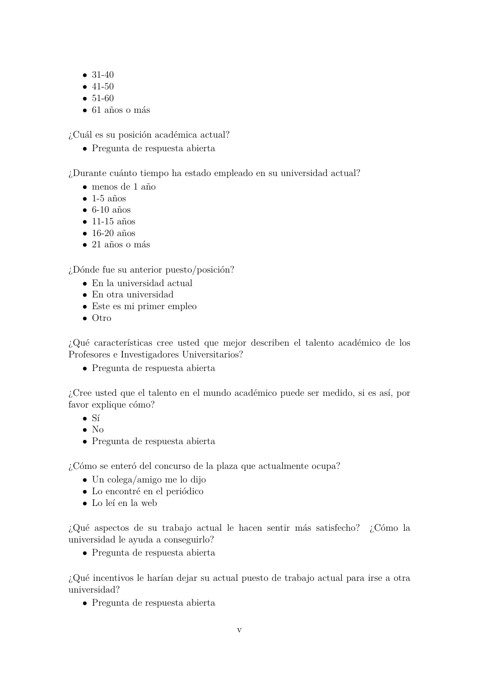- 31-40
- 41-50
- 51-60
- $\bullet$  61 años o más

 $i$ Cuál es su posición académica actual?

• Pregunta de respuesta abierta

¿Durante cu´anto tiempo ha estado empleado en su universidad actual?

- $\bullet$  menos de 1 año
- $\bullet$  1-5 años
- $\bullet$  6-10 años
- $\bullet$  11-15 años
- $\bullet$  16-20 años
- $\bullet$  21 años o más

 $i$ Dónde fue su anterior puesto/posición?

- En la universidad actual
- En otra universidad
- Este es mi primer empleo
- Otro

 $i$ Qué características cree usted que mejor describen el talento académico de los Profesores e Investigadores Universitarios?

• Pregunta de respuesta abierta

 $i$ . Cree usted que el talento en el mundo académico puede ser medido, si es así, por favor explique cómo?

- $\bullet$  Sí
- $\bullet$  No
- Pregunta de respuesta abierta

¿C´omo se enter´o del concurso de la plaza que actualmente ocupa?

- Un colega/amigo me lo dijo
- Lo encontré en el periódico
- Lo leí en la web

 $i_{\mathcal{E}}$ Qué aspectos de su trabajo actual le hacen sentir más satisfecho?  $i_{\mathcal{E}}$ Cómo la universidad le ayuda a conseguirlo?

• Pregunta de respuesta abierta

 $i$ Qué incentivos le harían dejar su actual puesto de trabajo actual para irse a otra universidad?

• Pregunta de respuesta abierta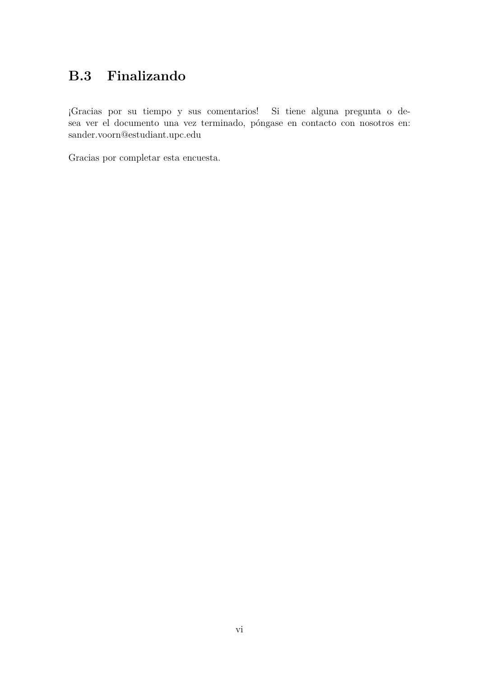# <span id="page-36-0"></span>**B.3 Finalizando**

¡Gracias por su tiempo y sus comentarios! Si tiene alguna pregunta o desea ver el documento una vez terminado, póngase en contacto con nosotros en: sander.voorn@estudiant.upc.edu

Gracias por completar esta encuesta.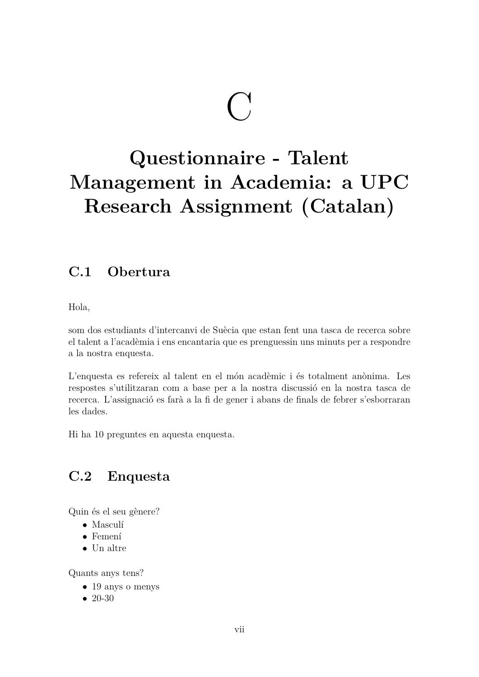# $\bigodot$

# <span id="page-37-0"></span>**Questionnaire - Talent Management in Academia: a UPC Research Assignment (Catalan)**

# <span id="page-37-1"></span>**C.1 Obertura**

Hola,

som dos estudiants d'intercanvi de Suècia que estan fent una tasca de recerca sobre el talent a l'acad`emia i ens encantaria que es prenguessin uns minuts per a respondre a la nostra enquesta.

L'enquesta es refereix al talent en el món acadèmic i és totalment anònima. Les respostes s'utilitzaran com a base per a la nostra discussió en la nostra tasca de recerca. L'assignació es farà a la fi de gener i abans de finals de febrer s'esborraran les dades.

Hi ha 10 preguntes en aquesta enquesta.

# <span id="page-37-2"></span>**C.2 Enquesta**

Quin és el seu gènere?

- Masculí
- Femení
- Un altre

Quants anys tens?

- 19 anys o menys
- $20-30$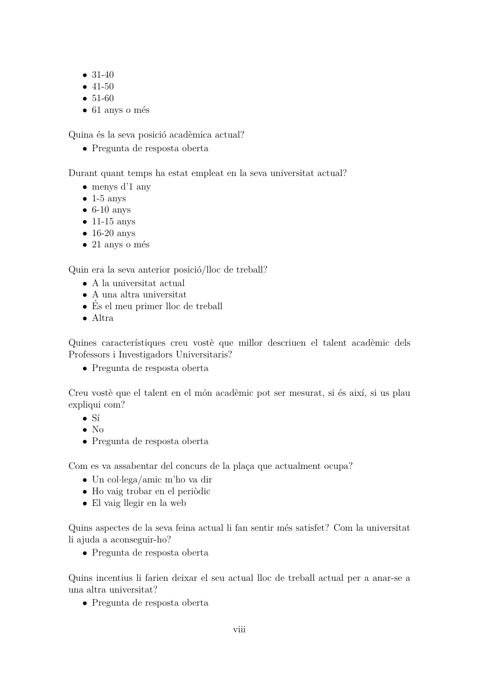- 31-40
- 41-50
- 51-60
- $\bullet$  61 anys o més

Quina és la seva posició acadèmica actual?

• Pregunta de resposta oberta

Durant quant temps ha estat empleat en la seva universitat actual?

- menys d'1 any
- $\bullet$  1-5 anys
- $\bullet$  6-10 anys
- 11-15 anys
- 16-20 anys
- $\bullet$  21 anys o més

Quin era la seva anterior posició/lloc de treball?

- A la universitat actual
- A una altra universitat
- És el meu primer lloc de treball
- Altra

Quines característiques creu vostè que millor descriuen el talent acadèmic dels Professors i Investigadors Universitaris?

• Pregunta de resposta oberta

Creu vostè que el talent en el món acadèmic pot ser mesurat, si és així, si us plau expliqui com?

- $\bullet$  Sí
- $\bullet$  No
- Pregunta de resposta oberta

Com es va assabentar del concurs de la plaça que actualment ocupa?

- Un col·lega/amic m'ho va dir
- Ho vaig trobar en el periòdic
- El vaig llegir en la web

Quins aspectes de la seva feina actual li fan sentir m´es satisfet? Com la universitat li ajuda a aconseguir-ho?

• Pregunta de resposta oberta

Quins incentius li farien deixar el seu actual lloc de treball actual per a anar-se a una altra universitat?

• Pregunta de resposta oberta